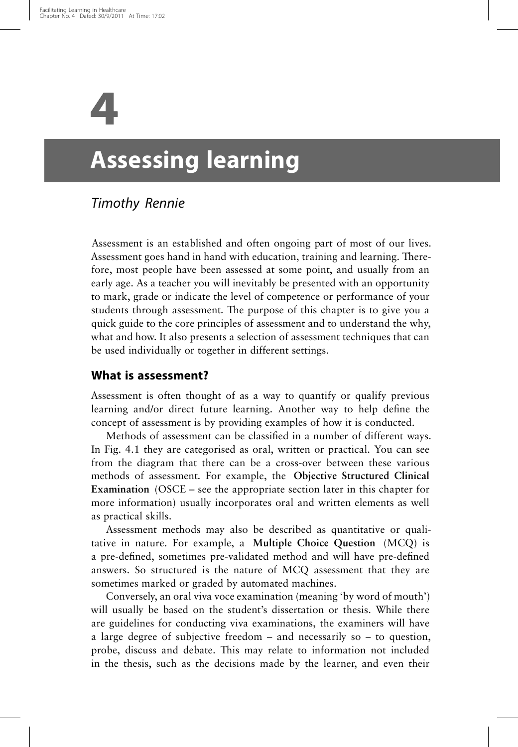# **4**

# **Assessing learning**

# Timothy Rennie

Assessment is an established and often ongoing part of most of our lives. Assessment goes hand in hand with education, training and learning. Therefore, most people have been assessed at some point, and usually from an early age. As a teacher you will inevitably be presented with an opportunity to mark, grade or indicate the level of competence or performance of your students through assessment. The purpose of this chapter is to give you a quick guide to the core principles of assessment and to understand the why, what and how. It also presents a selection of assessment techniques that can be used individually or together in different settings.

#### **What is assessment?**

Assessment is often thought of as a way to quantify or qualify previous learning and/or direct future learning. Another way to help define the concept of assessment is by providing examples of how it is conducted.

Methods of assessment can be classified in a number of different ways. In Fig. 4.1 they are categorised as oral, written or practical. You can see from the diagram that there can be a cross-over between these various methods of assessment. For example, the **Objective Structured Clinical Examination** (OSCE – see the appropriate section later in this chapter for more information) usually incorporates oral and written elements as well as practical skills.

Assessment methods may also be described as quantitative or qualitative in nature. For example, a **Multiple Choice Question** (MCQ) is a pre-defined, sometimes pre-validated method and will have pre-defined answers. So structured is the nature of MCQ assessment that they are sometimes marked or graded by automated machines.

Conversely, an oral viva voce examination (meaning 'by word of mouth') will usually be based on the student's dissertation or thesis. While there are guidelines for conducting viva examinations, the examiners will have a large degree of subjective freedom – and necessarily so – to question, probe, discuss and debate. This may relate to information not included in the thesis, such as the decisions made by the learner, and even their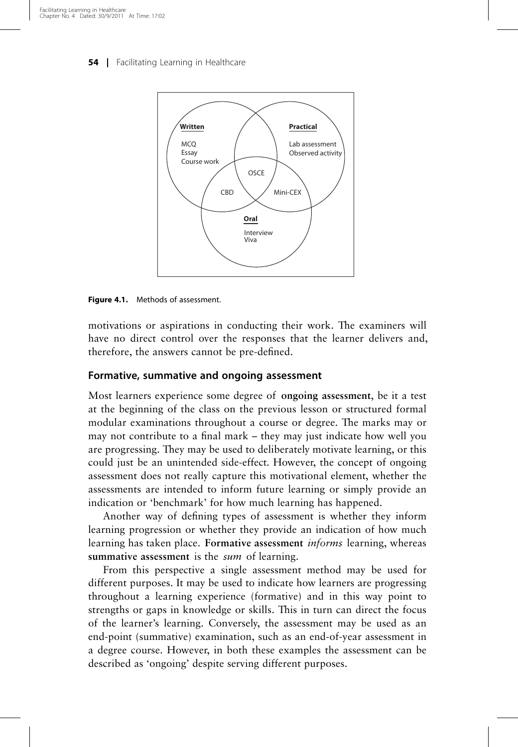

Figure 4.1. Methods of assessment.

motivations or aspirations in conducting their work. The examiners will have no direct control over the responses that the learner delivers and, therefore, the answers cannot be pre-defined.

#### **Formative, summative and ongoing assessment**

Most learners experience some degree of **ongoing assessment**, be it a test at the beginning of the class on the previous lesson or structured formal modular examinations throughout a course or degree. The marks may or may not contribute to a final mark – they may just indicate how well you are progressing. They may be used to deliberately motivate learning, or this could just be an unintended side-effect. However, the concept of ongoing assessment does not really capture this motivational element, whether the assessments are intended to inform future learning or simply provide an indication or 'benchmark' for how much learning has happened.

Another way of defining types of assessment is whether they inform learning progression or whether they provide an indication of how much learning has taken place. **Formative assessment** *informs* learning, whereas **summative assessment** is the *sum* of learning.

From this perspective a single assessment method may be used for different purposes. It may be used to indicate how learners are progressing throughout a learning experience (formative) and in this way point to strengths or gaps in knowledge or skills. This in turn can direct the focus of the learner's learning. Conversely, the assessment may be used as an end-point (summative) examination, such as an end-of-year assessment in a degree course. However, in both these examples the assessment can be described as 'ongoing' despite serving different purposes.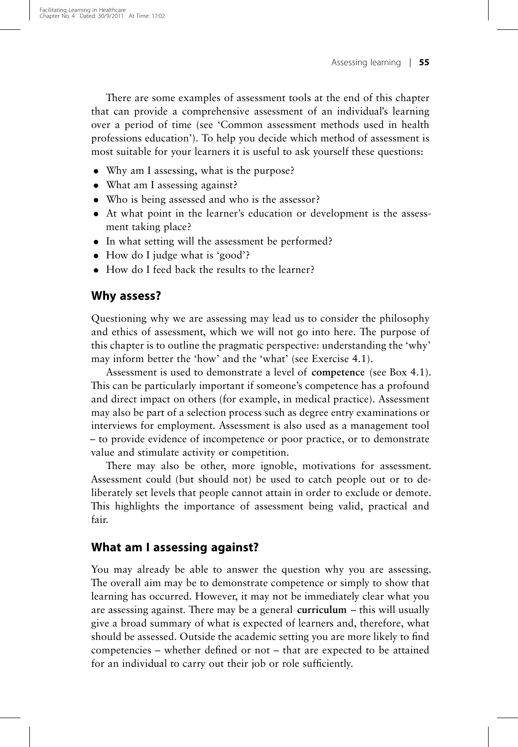There are some examples of assessment tools at the end of this chapter that can provide a comprehensive assessment of an individual's learning over a period of time (see 'Common assessment methods used in health professions education'). To help you decide which method of assessment is most suitable for your learners it is useful to ask yourself these questions:

- Why am I assessing, what is the purpose?
- What am I assessing against?
- Who is being assessed and who is the assessor?
- At what point in the learner's education or development is the assessment taking place?
- In what setting will the assessment be performed?
- How do I judge what is 'good'?
- How do I feed back the results to the learner?

# **Why assess?**

Questioning why we are assessing may lead us to consider the philosophy and ethics of assessment, which we will not go into here. The purpose of this chapter is to outline the pragmatic perspective: understanding the 'why' may inform better the 'how' and the 'what' (see Exercise 4.1).

Assessment is used to demonstrate a level of **competence** (see Box 4.1). This can be particularly important if someone's competence has a profound and direct impact on others (for example, in medical practice). Assessment may also be part of a selection process such as degree entry examinations or interviews for employment. Assessment is also used as a management tool – to provide evidence of incompetence or poor practice, or to demonstrate value and stimulate activity or competition.

There may also be other, more ignoble, motivations for assessment. Assessment could (but should not) be used to catch people out or to deliberately set levels that people cannot attain in order to exclude or demote. This highlights the importance of assessment being valid, practical and fair.

# **What am I assessing against?**

You may already be able to answer the question why you are assessing. The overall aim may be to demonstrate competence or simply to show that learning has occurred. However, it may not be immediately clear what you are assessing against. There may be a general **curriculum** – this will usually give a broad summary of what is expected of learners and, therefore, what should be assessed. Outside the academic setting you are more likely to find competencies – whether defined or not – that are expected to be attained for an individual to carry out their job or role sufficiently.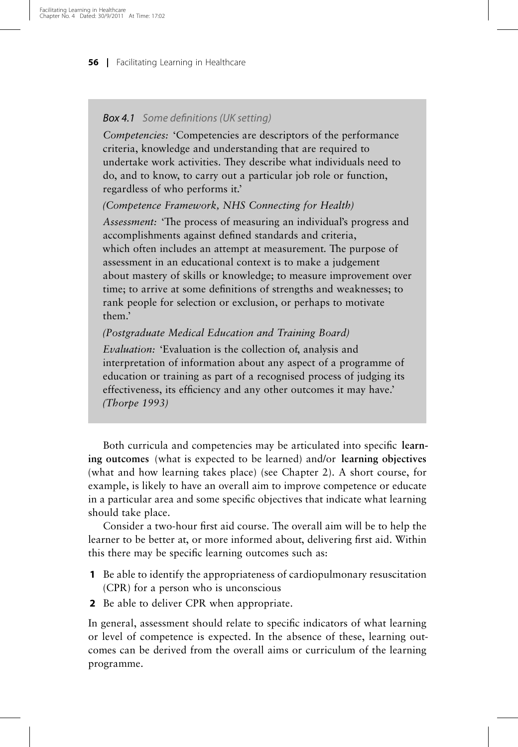#### Box 4.1 Some definitions (UK setting)

*Competencies:* 'Competencies are descriptors of the performance criteria, knowledge and understanding that are required to undertake work activities. They describe what individuals need to do, and to know, to carry out a particular job role or function, regardless of who performs it.'

#### *(Competence Framework, NHS Connecting for Health)*

*Assessment:* 'The process of measuring an individual's progress and accomplishments against defined standards and criteria, which often includes an attempt at measurement. The purpose of assessment in an educational context is to make a judgement about mastery of skills or knowledge; to measure improvement over time; to arrive at some definitions of strengths and weaknesses; to rank people for selection or exclusion, or perhaps to motivate them.'

#### *(Postgraduate Medical Education and Training Board)*

*Evaluation:* 'Evaluation is the collection of, analysis and interpretation of information about any aspect of a programme of education or training as part of a recognised process of judging its effectiveness, its efficiency and any other outcomes it may have.' *(Thorpe 1993)*

Both curricula and competencies may be articulated into specific **learning outcomes** (what is expected to be learned) and/or **learning objectives** (what and how learning takes place) (see Chapter 2). A short course, for example, is likely to have an overall aim to improve competence or educate in a particular area and some specific objectives that indicate what learning should take place.

Consider a two-hour first aid course. The overall aim will be to help the learner to be better at, or more informed about, delivering first aid. Within this there may be specific learning outcomes such as:

- **1** Be able to identify the appropriateness of cardiopulmonary resuscitation (CPR) for a person who is unconscious
- **2** Be able to deliver CPR when appropriate.

In general, assessment should relate to specific indicators of what learning or level of competence is expected. In the absence of these, learning outcomes can be derived from the overall aims or curriculum of the learning programme.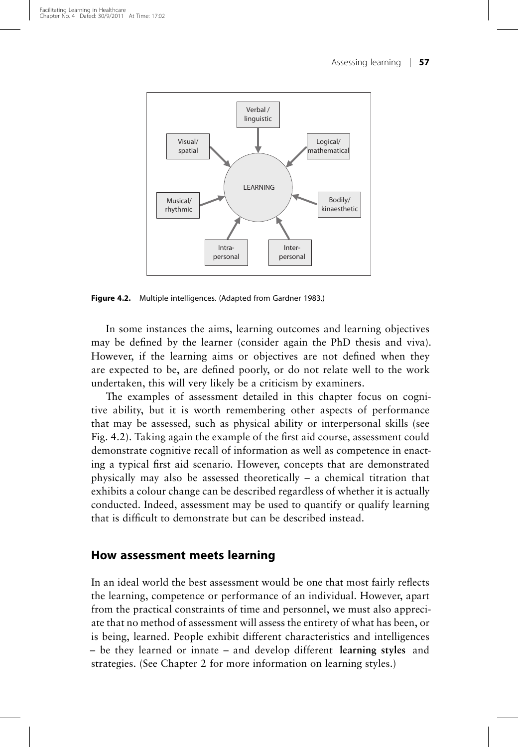

**Figure 4.2.** Multiple intelligences. (Adapted from Gardner 1983.)

In some instances the aims, learning outcomes and learning objectives may be defined by the learner (consider again the PhD thesis and viva). However, if the learning aims or objectives are not defined when they are expected to be, are defined poorly, or do not relate well to the work undertaken, this will very likely be a criticism by examiners.

The examples of assessment detailed in this chapter focus on cognitive ability, but it is worth remembering other aspects of performance that may be assessed, such as physical ability or interpersonal skills (see Fig. 4.2). Taking again the example of the first aid course, assessment could demonstrate cognitive recall of information as well as competence in enacting a typical first aid scenario. However, concepts that are demonstrated physically may also be assessed theoretically – a chemical titration that exhibits a colour change can be described regardless of whether it is actually conducted. Indeed, assessment may be used to quantify or qualify learning that is difficult to demonstrate but can be described instead.

#### **How assessment meets learning**

In an ideal world the best assessment would be one that most fairly reflects the learning, competence or performance of an individual. However, apart from the practical constraints of time and personnel, we must also appreciate that no method of assessment will assess the entirety of what has been, or is being, learned. People exhibit different characteristics and intelligences – be they learned or innate – and develop different **learning styles** and strategies. (See Chapter 2 for more information on learning styles.)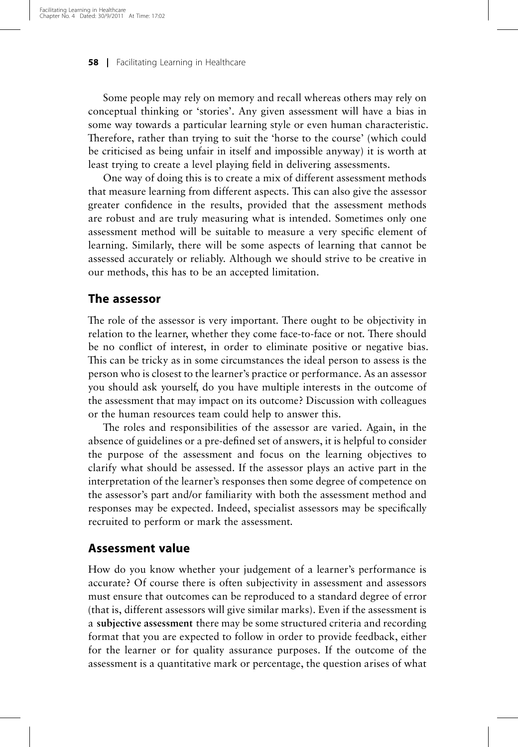Some people may rely on memory and recall whereas others may rely on conceptual thinking or 'stories'. Any given assessment will have a bias in some way towards a particular learning style or even human characteristic. Therefore, rather than trying to suit the 'horse to the course' (which could be criticised as being unfair in itself and impossible anyway) it is worth at least trying to create a level playing field in delivering assessments.

One way of doing this is to create a mix of different assessment methods that measure learning from different aspects. This can also give the assessor greater confidence in the results, provided that the assessment methods are robust and are truly measuring what is intended. Sometimes only one assessment method will be suitable to measure a very specific element of learning. Similarly, there will be some aspects of learning that cannot be assessed accurately or reliably. Although we should strive to be creative in our methods, this has to be an accepted limitation.

### **The assessor**

The role of the assessor is very important. There ought to be objectivity in relation to the learner, whether they come face-to-face or not. There should be no conflict of interest, in order to eliminate positive or negative bias. This can be tricky as in some circumstances the ideal person to assess is the person who is closest to the learner's practice or performance. As an assessor you should ask yourself, do you have multiple interests in the outcome of the assessment that may impact on its outcome? Discussion with colleagues or the human resources team could help to answer this.

The roles and responsibilities of the assessor are varied. Again, in the absence of guidelines or a pre-defined set of answers, it is helpful to consider the purpose of the assessment and focus on the learning objectives to clarify what should be assessed. If the assessor plays an active part in the interpretation of the learner's responses then some degree of competence on the assessor's part and/or familiarity with both the assessment method and responses may be expected. Indeed, specialist assessors may be specifically recruited to perform or mark the assessment.

# **Assessment value**

How do you know whether your judgement of a learner's performance is accurate? Of course there is often subjectivity in assessment and assessors must ensure that outcomes can be reproduced to a standard degree of error (that is, different assessors will give similar marks). Even if the assessment is a **subjective assessment** there may be some structured criteria and recording format that you are expected to follow in order to provide feedback, either for the learner or for quality assurance purposes. If the outcome of the assessment is a quantitative mark or percentage, the question arises of what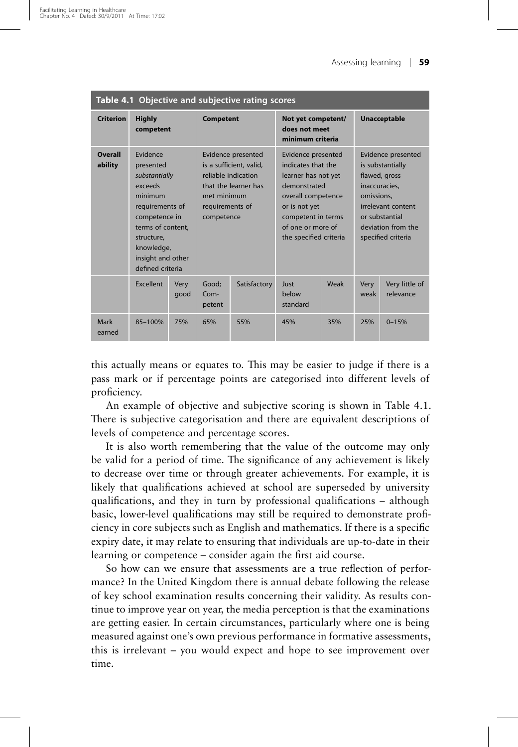| <b>Table 4.1 Objective and subjective rating scores</b> |                                                                                                                                                                                            |              |                                                                                                                                              |              |                                                                                                                                                                                             |      |                                                                                                                                                                            |                             |
|---------------------------------------------------------|--------------------------------------------------------------------------------------------------------------------------------------------------------------------------------------------|--------------|----------------------------------------------------------------------------------------------------------------------------------------------|--------------|---------------------------------------------------------------------------------------------------------------------------------------------------------------------------------------------|------|----------------------------------------------------------------------------------------------------------------------------------------------------------------------------|-----------------------------|
| <b>Criterion</b>                                        | <b>Highly</b><br>competent                                                                                                                                                                 |              | <b>Competent</b>                                                                                                                             |              | Not yet competent/<br>does not meet<br>minimum criteria                                                                                                                                     |      | <b>Unacceptable</b>                                                                                                                                                        |                             |
| <b>Overall</b><br>ability                               | Evidence<br>presented<br>substantially<br>exceeds<br>minimum<br>requirements of<br>competence in<br>terms of content.<br>structure.<br>knowledge,<br>insight and other<br>defined criteria |              | Evidence presented<br>is a sufficient, valid,<br>reliable indication<br>that the learner has<br>met minimum<br>requirements of<br>competence |              | Evidence presented<br>indicates that the<br>learner has not yet<br>demonstrated<br>overall competence<br>or is not yet<br>competent in terms<br>of one or more of<br>the specified criteria |      | Evidence presented<br>is substantially<br>flawed, gross<br>inaccuracies.<br>omissions.<br>irrelevant content<br>or substantial<br>deviation from the<br>specified criteria |                             |
|                                                         | <b>Excellent</b>                                                                                                                                                                           | Very<br>good | Good:<br>$Com-$<br>petent                                                                                                                    | Satisfactory | Just<br>below<br>standard                                                                                                                                                                   | Weak | Very<br>weak                                                                                                                                                               | Very little of<br>relevance |
| Mark<br>earned                                          | 85-100%                                                                                                                                                                                    | 75%          | 65%                                                                                                                                          | 55%          | 45%                                                                                                                                                                                         | 35%  | 25%                                                                                                                                                                        | $0 - 15%$                   |

this actually means or equates to. This may be easier to judge if there is a pass mark or if percentage points are categorised into different levels of proficiency.

An example of objective and subjective scoring is shown in Table 4.1. There is subjective categorisation and there are equivalent descriptions of levels of competence and percentage scores.

It is also worth remembering that the value of the outcome may only be valid for a period of time. The significance of any achievement is likely to decrease over time or through greater achievements. For example, it is likely that qualifications achieved at school are superseded by university qualifications, and they in turn by professional qualifications – although basic, lower-level qualifications may still be required to demonstrate proficiency in core subjects such as English and mathematics. If there is a specific expiry date, it may relate to ensuring that individuals are up-to-date in their learning or competence – consider again the first aid course.

So how can we ensure that assessments are a true reflection of performance? In the United Kingdom there is annual debate following the release of key school examination results concerning their validity. As results continue to improve year on year, the media perception is that the examinations are getting easier. In certain circumstances, particularly where one is being measured against one's own previous performance in formative assessments, this is irrelevant – you would expect and hope to see improvement over time.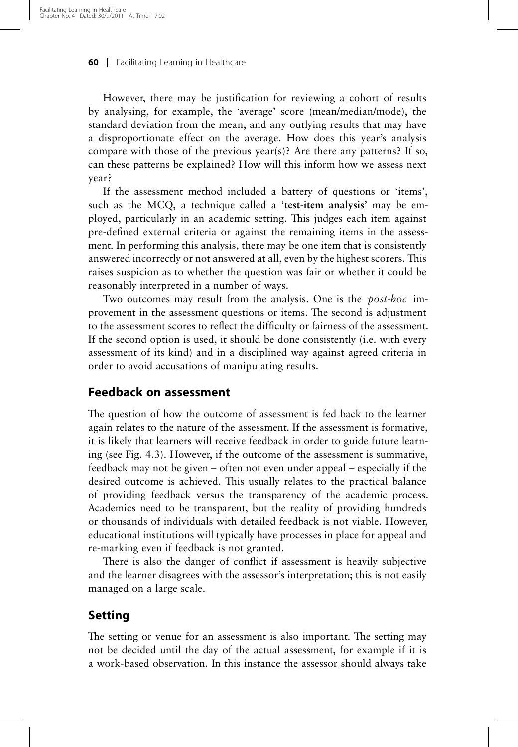However, there may be justification for reviewing a cohort of results by analysing, for example, the 'average' score (mean/median/mode), the standard deviation from the mean, and any outlying results that may have a disproportionate effect on the average. How does this year's analysis compare with those of the previous year(s)? Are there any patterns? If so, can these patterns be explained? How will this inform how we assess next year?

If the assessment method included a battery of questions or 'items', such as the MCQ, a technique called a '**test-item analysis**' may be employed, particularly in an academic setting. This judges each item against pre-defined external criteria or against the remaining items in the assessment. In performing this analysis, there may be one item that is consistently answered incorrectly or not answered at all, even by the highest scorers. This raises suspicion as to whether the question was fair or whether it could be reasonably interpreted in a number of ways.

Two outcomes may result from the analysis. One is the *post-hoc* improvement in the assessment questions or items. The second is adjustment to the assessment scores to reflect the difficulty or fairness of the assessment. If the second option is used, it should be done consistently (i.e. with every assessment of its kind) and in a disciplined way against agreed criteria in order to avoid accusations of manipulating results.

#### **Feedback on assessment**

The question of how the outcome of assessment is fed back to the learner again relates to the nature of the assessment. If the assessment is formative, it is likely that learners will receive feedback in order to guide future learning (see Fig. 4.3). However, if the outcome of the assessment is summative, feedback may not be given – often not even under appeal – especially if the desired outcome is achieved. This usually relates to the practical balance of providing feedback versus the transparency of the academic process. Academics need to be transparent, but the reality of providing hundreds or thousands of individuals with detailed feedback is not viable. However, educational institutions will typically have processes in place for appeal and re-marking even if feedback is not granted.

There is also the danger of conflict if assessment is heavily subjective and the learner disagrees with the assessor's interpretation; this is not easily managed on a large scale.

# **Setting**

The setting or venue for an assessment is also important. The setting may not be decided until the day of the actual assessment, for example if it is a work-based observation. In this instance the assessor should always take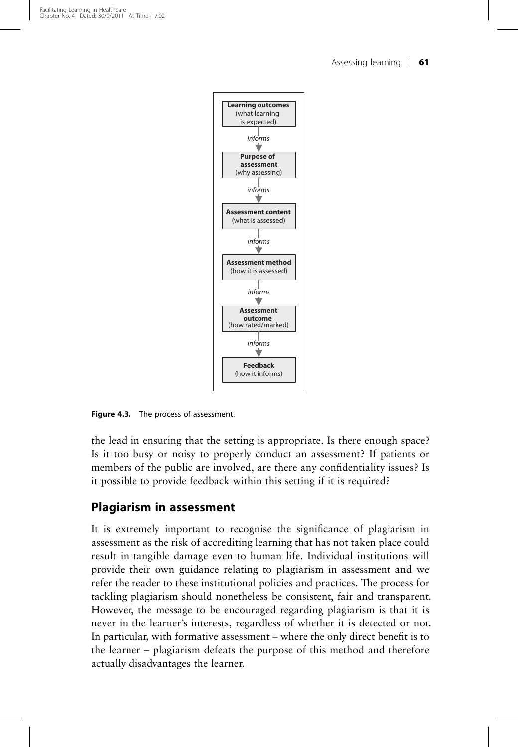

**Figure 4.3.** The process of assessment.

the lead in ensuring that the setting is appropriate. Is there enough space? Is it too busy or noisy to properly conduct an assessment? If patients or members of the public are involved, are there any confidentiality issues? Is it possible to provide feedback within this setting if it is required?

# **Plagiarism in assessment**

It is extremely important to recognise the significance of plagiarism in assessment as the risk of accrediting learning that has not taken place could result in tangible damage even to human life. Individual institutions will provide their own guidance relating to plagiarism in assessment and we refer the reader to these institutional policies and practices. The process for tackling plagiarism should nonetheless be consistent, fair and transparent. However, the message to be encouraged regarding plagiarism is that it is never in the learner's interests, regardless of whether it is detected or not. In particular, with formative assessment – where the only direct benefit is to the learner – plagiarism defeats the purpose of this method and therefore actually disadvantages the learner.